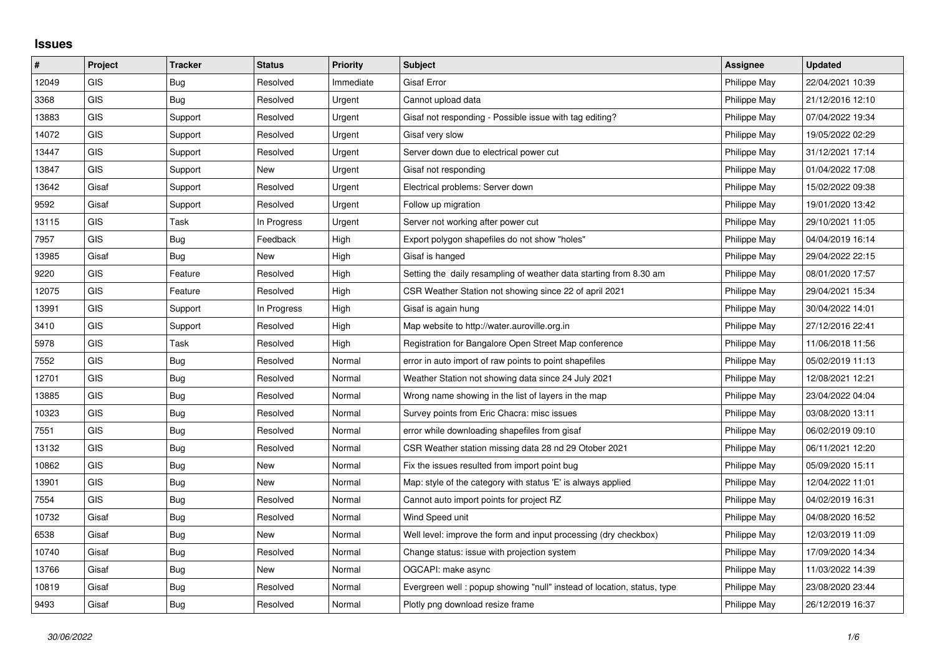## **Issues**

| #     | Project    | <b>Tracker</b> | <b>Status</b> | <b>Priority</b> | Subject                                                                | Assignee     | <b>Updated</b>   |
|-------|------------|----------------|---------------|-----------------|------------------------------------------------------------------------|--------------|------------------|
| 12049 | GIS        | <b>Bug</b>     | Resolved      | Immediate       | <b>Gisaf Error</b>                                                     | Philippe May | 22/04/2021 10:39 |
| 3368  | <b>GIS</b> | Bug            | Resolved      | Urgent          | Cannot upload data                                                     | Philippe May | 21/12/2016 12:10 |
| 13883 | <b>GIS</b> | Support        | Resolved      | Urgent          | Gisaf not responding - Possible issue with tag editing?                | Philippe May | 07/04/2022 19:34 |
| 14072 | <b>GIS</b> | Support        | Resolved      | Urgent          | Gisaf very slow                                                        | Philippe May | 19/05/2022 02:29 |
| 13447 | GIS        | Support        | Resolved      | Urgent          | Server down due to electrical power cut                                | Philippe May | 31/12/2021 17:14 |
| 13847 | <b>GIS</b> | Support        | New           | Urgent          | Gisaf not responding                                                   | Philippe May | 01/04/2022 17:08 |
| 13642 | Gisaf      | Support        | Resolved      | Urgent          | Electrical problems: Server down                                       | Philippe May | 15/02/2022 09:38 |
| 9592  | Gisaf      | Support        | Resolved      | Urgent          | Follow up migration                                                    | Philippe May | 19/01/2020 13:42 |
| 13115 | <b>GIS</b> | Task           | In Progress   | Urgent          | Server not working after power cut                                     | Philippe May | 29/10/2021 11:05 |
| 7957  | GIS        | Bug            | Feedback      | High            | Export polygon shapefiles do not show "holes"                          | Philippe May | 04/04/2019 16:14 |
| 13985 | Gisaf      | Bug            | New           | High            | Gisaf is hanged                                                        | Philippe May | 29/04/2022 22:15 |
| 9220  | <b>GIS</b> | Feature        | Resolved      | High            | Setting the daily resampling of weather data starting from 8.30 am     | Philippe May | 08/01/2020 17:57 |
| 12075 | GIS        | Feature        | Resolved      | High            | CSR Weather Station not showing since 22 of april 2021                 | Philippe May | 29/04/2021 15:34 |
| 13991 | <b>GIS</b> | Support        | In Progress   | High            | Gisaf is again hung                                                    | Philippe May | 30/04/2022 14:01 |
| 3410  | <b>GIS</b> | Support        | Resolved      | High            | Map website to http://water.auroville.org.in                           | Philippe May | 27/12/2016 22:41 |
| 5978  | <b>GIS</b> | Task           | Resolved      | High            | Registration for Bangalore Open Street Map conference                  | Philippe May | 11/06/2018 11:56 |
| 7552  | <b>GIS</b> | Bug            | Resolved      | Normal          | error in auto import of raw points to point shapefiles                 | Philippe May | 05/02/2019 11:13 |
| 12701 | GIS        | Bug            | Resolved      | Normal          | Weather Station not showing data since 24 July 2021                    | Philippe May | 12/08/2021 12:21 |
| 13885 | <b>GIS</b> | Bug            | Resolved      | Normal          | Wrong name showing in the list of layers in the map                    | Philippe May | 23/04/2022 04:04 |
| 10323 | <b>GIS</b> | Bug            | Resolved      | Normal          | Survey points from Eric Chacra: misc issues                            | Philippe May | 03/08/2020 13:11 |
| 7551  | GIS        | Bug            | Resolved      | Normal          | error while downloading shapefiles from gisaf                          | Philippe May | 06/02/2019 09:10 |
| 13132 | <b>GIS</b> | Bug            | Resolved      | Normal          | CSR Weather station missing data 28 nd 29 Otober 2021                  | Philippe May | 06/11/2021 12:20 |
| 10862 | <b>GIS</b> | Bug            | New           | Normal          | Fix the issues resulted from import point bug                          | Philippe May | 05/09/2020 15:11 |
| 13901 | <b>GIS</b> | <b>Bug</b>     | <b>New</b>    | Normal          | Map: style of the category with status 'E' is always applied           | Philippe May | 12/04/2022 11:01 |
| 7554  | GIS        | Bug            | Resolved      | Normal          | Cannot auto import points for project RZ                               | Philippe May | 04/02/2019 16:31 |
| 10732 | Gisaf      | Bug            | Resolved      | Normal          | Wind Speed unit                                                        | Philippe May | 04/08/2020 16:52 |
| 6538  | Gisaf      | Bug            | <b>New</b>    | Normal          | Well level: improve the form and input processing (dry checkbox)       | Philippe May | 12/03/2019 11:09 |
| 10740 | Gisaf      | Bug            | Resolved      | Normal          | Change status: issue with projection system                            | Philippe May | 17/09/2020 14:34 |
| 13766 | Gisaf      | Bug            | New           | Normal          | OGCAPI: make async                                                     | Philippe May | 11/03/2022 14:39 |
| 10819 | Gisaf      | Bug            | Resolved      | Normal          | Evergreen well: popup showing "null" instead of location, status, type | Philippe May | 23/08/2020 23:44 |
| 9493  | Gisaf      | <b>Bug</b>     | Resolved      | Normal          | Plotly png download resize frame                                       | Philippe May | 26/12/2019 16:37 |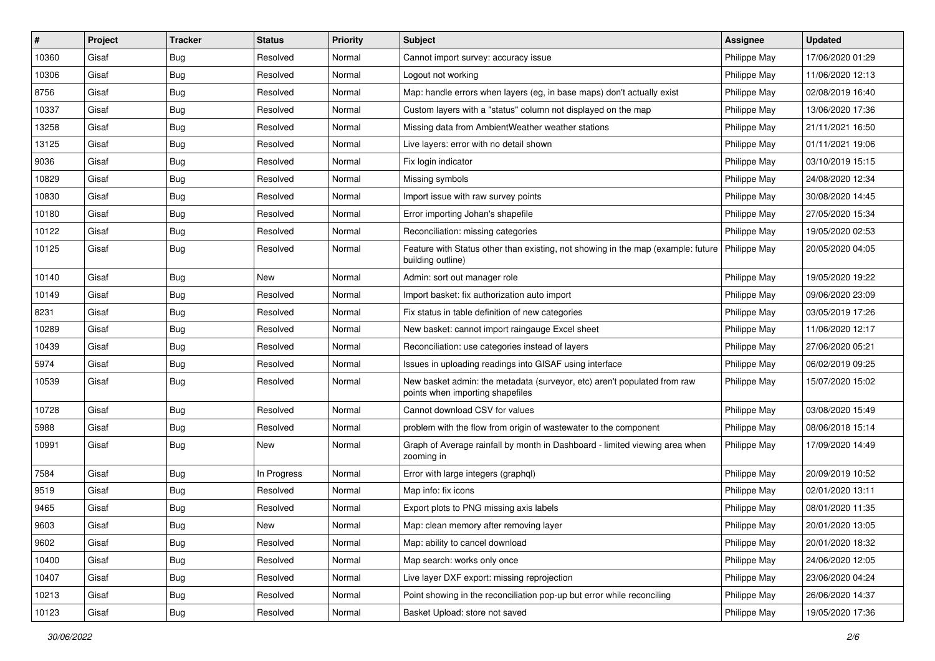| #     | Project | <b>Tracker</b> | <b>Status</b> | Priority | <b>Subject</b>                                                                                                       | <b>Assignee</b> | <b>Updated</b>   |
|-------|---------|----------------|---------------|----------|----------------------------------------------------------------------------------------------------------------------|-----------------|------------------|
| 10360 | Gisaf   | <b>Bug</b>     | Resolved      | Normal   | Cannot import survey: accuracy issue                                                                                 | Philippe May    | 17/06/2020 01:29 |
| 10306 | Gisaf   | Bug            | Resolved      | Normal   | Logout not working                                                                                                   | Philippe May    | 11/06/2020 12:13 |
| 8756  | Gisaf   | Bug            | Resolved      | Normal   | Map: handle errors when layers (eg, in base maps) don't actually exist                                               | Philippe May    | 02/08/2019 16:40 |
| 10337 | Gisaf   | <b>Bug</b>     | Resolved      | Normal   | Custom layers with a "status" column not displayed on the map                                                        | Philippe May    | 13/06/2020 17:36 |
| 13258 | Gisaf   | Bug            | Resolved      | Normal   | Missing data from AmbientWeather weather stations                                                                    | Philippe May    | 21/11/2021 16:50 |
| 13125 | Gisaf   | Bug            | Resolved      | Normal   | Live layers: error with no detail shown                                                                              | Philippe May    | 01/11/2021 19:06 |
| 9036  | Gisaf   | Bug            | Resolved      | Normal   | Fix login indicator                                                                                                  | Philippe May    | 03/10/2019 15:15 |
| 10829 | Gisaf   | Bug            | Resolved      | Normal   | Missing symbols                                                                                                      | Philippe May    | 24/08/2020 12:34 |
| 10830 | Gisaf   | <b>Bug</b>     | Resolved      | Normal   | Import issue with raw survey points                                                                                  | Philippe May    | 30/08/2020 14:45 |
| 10180 | Gisaf   | <b>Bug</b>     | Resolved      | Normal   | Error importing Johan's shapefile                                                                                    | Philippe May    | 27/05/2020 15:34 |
| 10122 | Gisaf   | Bug            | Resolved      | Normal   | Reconciliation: missing categories                                                                                   | Philippe May    | 19/05/2020 02:53 |
| 10125 | Gisaf   | <b>Bug</b>     | Resolved      | Normal   | Feature with Status other than existing, not showing in the map (example: future   Philippe May<br>building outline) |                 | 20/05/2020 04:05 |
| 10140 | Gisaf   | Bug            | New           | Normal   | Admin: sort out manager role                                                                                         | Philippe May    | 19/05/2020 19:22 |
| 10149 | Gisaf   | Bug            | Resolved      | Normal   | Import basket: fix authorization auto import                                                                         | Philippe May    | 09/06/2020 23:09 |
| 8231  | Gisaf   | <b>Bug</b>     | Resolved      | Normal   | Fix status in table definition of new categories                                                                     | Philippe May    | 03/05/2019 17:26 |
| 10289 | Gisaf   | <b>Bug</b>     | Resolved      | Normal   | New basket: cannot import raingauge Excel sheet                                                                      | Philippe May    | 11/06/2020 12:17 |
| 10439 | Gisaf   | Bug            | Resolved      | Normal   | Reconciliation: use categories instead of layers                                                                     | Philippe May    | 27/06/2020 05:21 |
| 5974  | Gisaf   | <b>Bug</b>     | Resolved      | Normal   | Issues in uploading readings into GISAF using interface                                                              | Philippe May    | 06/02/2019 09:25 |
| 10539 | Gisaf   | <b>Bug</b>     | Resolved      | Normal   | New basket admin: the metadata (surveyor, etc) aren't populated from raw<br>points when importing shapefiles         | Philippe May    | 15/07/2020 15:02 |
| 10728 | Gisaf   | Bug            | Resolved      | Normal   | Cannot download CSV for values                                                                                       | Philippe May    | 03/08/2020 15:49 |
| 5988  | Gisaf   | Bug            | Resolved      | Normal   | problem with the flow from origin of wastewater to the component                                                     | Philippe May    | 08/06/2018 15:14 |
| 10991 | Gisaf   | Bug            | New           | Normal   | Graph of Average rainfall by month in Dashboard - limited viewing area when<br>zooming in                            | Philippe May    | 17/09/2020 14:49 |
| 7584  | Gisaf   | Bug            | In Progress   | Normal   | Error with large integers (graphql)                                                                                  | Philippe May    | 20/09/2019 10:52 |
| 9519  | Gisaf   | Bug            | Resolved      | Normal   | Map info: fix icons                                                                                                  | Philippe May    | 02/01/2020 13:11 |
| 9465  | Gisaf   | <b>Bug</b>     | Resolved      | Normal   | Export plots to PNG missing axis labels                                                                              | Philippe May    | 08/01/2020 11:35 |
| 9603  | Gisaf   | Bug            | New           | Normal   | Map: clean memory after removing layer                                                                               | Philippe May    | 20/01/2020 13:05 |
| 9602  | Gisaf   | Bug            | Resolved      | Normal   | Map: ability to cancel download                                                                                      | Philippe May    | 20/01/2020 18:32 |
| 10400 | Gisaf   | <b>Bug</b>     | Resolved      | Normal   | Map search: works only once                                                                                          | Philippe May    | 24/06/2020 12:05 |
| 10407 | Gisaf   | <b>Bug</b>     | Resolved      | Normal   | Live layer DXF export: missing reprojection                                                                          | Philippe May    | 23/06/2020 04:24 |
| 10213 | Gisaf   | Bug            | Resolved      | Normal   | Point showing in the reconciliation pop-up but error while reconciling                                               | Philippe May    | 26/06/2020 14:37 |
| 10123 | Gisaf   | <b>Bug</b>     | Resolved      | Normal   | Basket Upload: store not saved                                                                                       | Philippe May    | 19/05/2020 17:36 |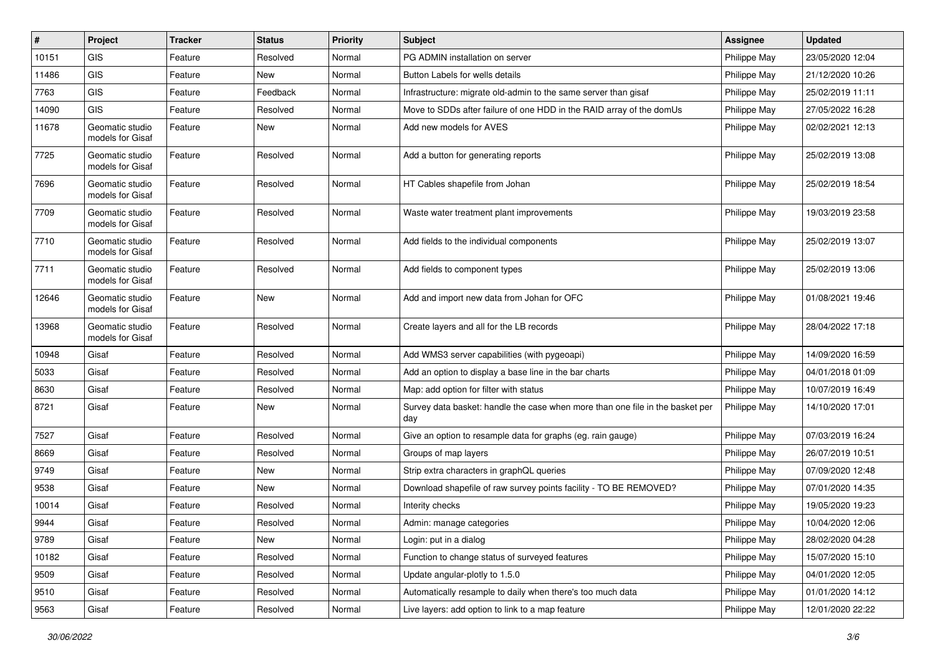| $\pmb{\#}$ | Project                             | <b>Tracker</b> | <b>Status</b> | <b>Priority</b> | <b>Subject</b>                                                                       | <b>Assignee</b> | <b>Updated</b>   |
|------------|-------------------------------------|----------------|---------------|-----------------|--------------------------------------------------------------------------------------|-----------------|------------------|
| 10151      | <b>GIS</b>                          | Feature        | Resolved      | Normal          | PG ADMIN installation on server                                                      | Philippe May    | 23/05/2020 12:04 |
| 11486      | GIS                                 | Feature        | <b>New</b>    | Normal          | Button Labels for wells details                                                      | Philippe May    | 21/12/2020 10:26 |
| 7763       | GIS                                 | Feature        | Feedback      | Normal          | Infrastructure: migrate old-admin to the same server than gisaf                      | Philippe May    | 25/02/2019 11:11 |
| 14090      | GIS                                 | Feature        | Resolved      | Normal          | Move to SDDs after failure of one HDD in the RAID array of the domUs                 | Philippe May    | 27/05/2022 16:28 |
| 11678      | Geomatic studio<br>models for Gisaf | Feature        | <b>New</b>    | Normal          | Add new models for AVES                                                              | Philippe May    | 02/02/2021 12:13 |
| 7725       | Geomatic studio<br>models for Gisaf | Feature        | Resolved      | Normal          | Add a button for generating reports                                                  | Philippe May    | 25/02/2019 13:08 |
| 7696       | Geomatic studio<br>models for Gisaf | Feature        | Resolved      | Normal          | HT Cables shapefile from Johan                                                       | Philippe May    | 25/02/2019 18:54 |
| 7709       | Geomatic studio<br>models for Gisaf | Feature        | Resolved      | Normal          | Waste water treatment plant improvements                                             | Philippe May    | 19/03/2019 23:58 |
| 7710       | Geomatic studio<br>models for Gisaf | Feature        | Resolved      | Normal          | Add fields to the individual components                                              | Philippe May    | 25/02/2019 13:07 |
| 7711       | Geomatic studio<br>models for Gisaf | Feature        | Resolved      | Normal          | Add fields to component types                                                        | Philippe May    | 25/02/2019 13:06 |
| 12646      | Geomatic studio<br>models for Gisaf | Feature        | <b>New</b>    | Normal          | Add and import new data from Johan for OFC                                           | Philippe May    | 01/08/2021 19:46 |
| 13968      | Geomatic studio<br>models for Gisaf | Feature        | Resolved      | Normal          | Create layers and all for the LB records                                             | Philippe May    | 28/04/2022 17:18 |
| 10948      | Gisaf                               | Feature        | Resolved      | Normal          | Add WMS3 server capabilities (with pygeoapi)                                         | Philippe May    | 14/09/2020 16:59 |
| 5033       | Gisaf                               | Feature        | Resolved      | Normal          | Add an option to display a base line in the bar charts                               | Philippe May    | 04/01/2018 01:09 |
| 8630       | Gisaf                               | Feature        | Resolved      | Normal          | Map: add option for filter with status                                               | Philippe May    | 10/07/2019 16:49 |
| 8721       | Gisaf                               | Feature        | New           | Normal          | Survey data basket: handle the case when more than one file in the basket per<br>day | Philippe May    | 14/10/2020 17:01 |
| 7527       | Gisaf                               | Feature        | Resolved      | Normal          | Give an option to resample data for graphs (eg. rain gauge)                          | Philippe May    | 07/03/2019 16:24 |
| 8669       | Gisaf                               | Feature        | Resolved      | Normal          | Groups of map layers                                                                 | Philippe May    | 26/07/2019 10:51 |
| 9749       | Gisaf                               | Feature        | <b>New</b>    | Normal          | Strip extra characters in graphQL queries                                            | Philippe May    | 07/09/2020 12:48 |
| 9538       | Gisaf                               | Feature        | <b>New</b>    | Normal          | Download shapefile of raw survey points facility - TO BE REMOVED?                    | Philippe May    | 07/01/2020 14:35 |
| 10014      | Gisaf                               | Feature        | Resolved      | Normal          | Interity checks                                                                      | Philippe May    | 19/05/2020 19:23 |
| 9944       | Gisaf                               | Feature        | Resolved      | Normal          | Admin: manage categories                                                             | Philippe May    | 10/04/2020 12:06 |
| 9789       | Gisaf                               | Feature        | New           | Normal          | Login: put in a dialog                                                               | Philippe May    | 28/02/2020 04:28 |
| 10182      | Gisaf                               | Feature        | Resolved      | Normal          | Function to change status of surveyed features                                       | Philippe May    | 15/07/2020 15:10 |
| 9509       | Gisaf                               | Feature        | Resolved      | Normal          | Update angular-plotly to 1.5.0                                                       | Philippe May    | 04/01/2020 12:05 |
| 9510       | Gisaf                               | Feature        | Resolved      | Normal          | Automatically resample to daily when there's too much data                           | Philippe May    | 01/01/2020 14:12 |
| 9563       | Gisaf                               | Feature        | Resolved      | Normal          | Live layers: add option to link to a map feature                                     | Philippe May    | 12/01/2020 22:22 |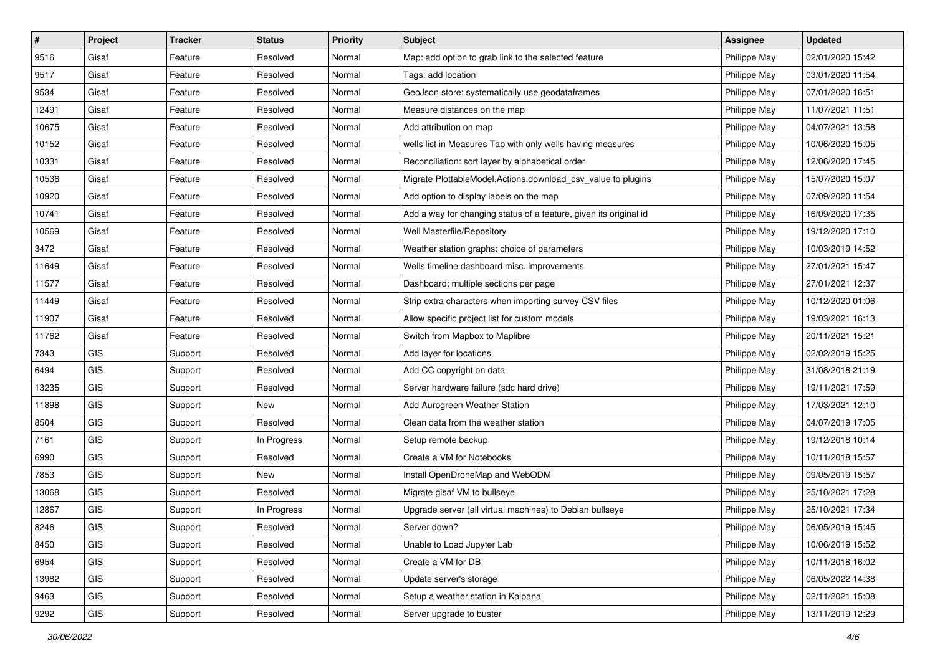| #     | Project    | <b>Tracker</b> | <b>Status</b> | <b>Priority</b> | <b>Subject</b>                                                    | <b>Assignee</b> | <b>Updated</b>   |
|-------|------------|----------------|---------------|-----------------|-------------------------------------------------------------------|-----------------|------------------|
| 9516  | Gisaf      | Feature        | Resolved      | Normal          | Map: add option to grab link to the selected feature              | Philippe May    | 02/01/2020 15:42 |
| 9517  | Gisaf      | Feature        | Resolved      | Normal          | Tags: add location                                                | Philippe May    | 03/01/2020 11:54 |
| 9534  | Gisaf      | Feature        | Resolved      | Normal          | GeoJson store: systematically use geodataframes                   | Philippe May    | 07/01/2020 16:51 |
| 12491 | Gisaf      | Feature        | Resolved      | Normal          | Measure distances on the map                                      | Philippe May    | 11/07/2021 11:51 |
| 10675 | Gisaf      | Feature        | Resolved      | Normal          | Add attribution on map                                            | Philippe May    | 04/07/2021 13:58 |
| 10152 | Gisaf      | Feature        | Resolved      | Normal          | wells list in Measures Tab with only wells having measures        | Philippe May    | 10/06/2020 15:05 |
| 10331 | Gisaf      | Feature        | Resolved      | Normal          | Reconciliation: sort layer by alphabetical order                  | Philippe May    | 12/06/2020 17:45 |
| 10536 | Gisaf      | Feature        | Resolved      | Normal          | Migrate PlottableModel.Actions.download_csv_value to plugins      | Philippe May    | 15/07/2020 15:07 |
| 10920 | Gisaf      | Feature        | Resolved      | Normal          | Add option to display labels on the map                           | Philippe May    | 07/09/2020 11:54 |
| 10741 | Gisaf      | Feature        | Resolved      | Normal          | Add a way for changing status of a feature, given its original id | Philippe May    | 16/09/2020 17:35 |
| 10569 | Gisaf      | Feature        | Resolved      | Normal          | Well Masterfile/Repository                                        | Philippe May    | 19/12/2020 17:10 |
| 3472  | Gisaf      | Feature        | Resolved      | Normal          | Weather station graphs: choice of parameters                      | Philippe May    | 10/03/2019 14:52 |
| 11649 | Gisaf      | Feature        | Resolved      | Normal          | Wells timeline dashboard misc. improvements                       | Philippe May    | 27/01/2021 15:47 |
| 11577 | Gisaf      | Feature        | Resolved      | Normal          | Dashboard: multiple sections per page                             | Philippe May    | 27/01/2021 12:37 |
| 11449 | Gisaf      | Feature        | Resolved      | Normal          | Strip extra characters when importing survey CSV files            | Philippe May    | 10/12/2020 01:06 |
| 11907 | Gisaf      | Feature        | Resolved      | Normal          | Allow specific project list for custom models                     | Philippe May    | 19/03/2021 16:13 |
| 11762 | Gisaf      | Feature        | Resolved      | Normal          | Switch from Mapbox to Maplibre                                    | Philippe May    | 20/11/2021 15:21 |
| 7343  | GIS        | Support        | Resolved      | Normal          | Add layer for locations                                           | Philippe May    | 02/02/2019 15:25 |
| 6494  | GIS        | Support        | Resolved      | Normal          | Add CC copyright on data                                          | Philippe May    | 31/08/2018 21:19 |
| 13235 | <b>GIS</b> | Support        | Resolved      | Normal          | Server hardware failure (sdc hard drive)                          | Philippe May    | 19/11/2021 17:59 |
| 11898 | GIS        | Support        | New           | Normal          | Add Aurogreen Weather Station                                     | Philippe May    | 17/03/2021 12:10 |
| 8504  | GIS        | Support        | Resolved      | Normal          | Clean data from the weather station                               | Philippe May    | 04/07/2019 17:05 |
| 7161  | GIS        | Support        | In Progress   | Normal          | Setup remote backup                                               | Philippe May    | 19/12/2018 10:14 |
| 6990  | GIS        | Support        | Resolved      | Normal          | Create a VM for Notebooks                                         | Philippe May    | 10/11/2018 15:57 |
| 7853  | <b>GIS</b> | Support        | New           | Normal          | Install OpenDroneMap and WebODM                                   | Philippe May    | 09/05/2019 15:57 |
| 13068 | GIS        | Support        | Resolved      | Normal          | Migrate gisaf VM to bullseye                                      | Philippe May    | 25/10/2021 17:28 |
| 12867 | GIS        | Support        | In Progress   | Normal          | Upgrade server (all virtual machines) to Debian bullseye          | Philippe May    | 25/10/2021 17:34 |
| 8246  | GIS        | Support        | Resolved      | Normal          | Server down?                                                      | Philippe May    | 06/05/2019 15:45 |
| 8450  | <b>GIS</b> | Support        | Resolved      | Normal          | Unable to Load Jupyter Lab                                        | Philippe May    | 10/06/2019 15:52 |
| 6954  | GIS        | Support        | Resolved      | Normal          | Create a VM for DB                                                | Philippe May    | 10/11/2018 16:02 |
| 13982 | GIS        | Support        | Resolved      | Normal          | Update server's storage                                           | Philippe May    | 06/05/2022 14:38 |
| 9463  | GIS        | Support        | Resolved      | Normal          | Setup a weather station in Kalpana                                | Philippe May    | 02/11/2021 15:08 |
| 9292  | GIS        | Support        | Resolved      | Normal          | Server upgrade to buster                                          | Philippe May    | 13/11/2019 12:29 |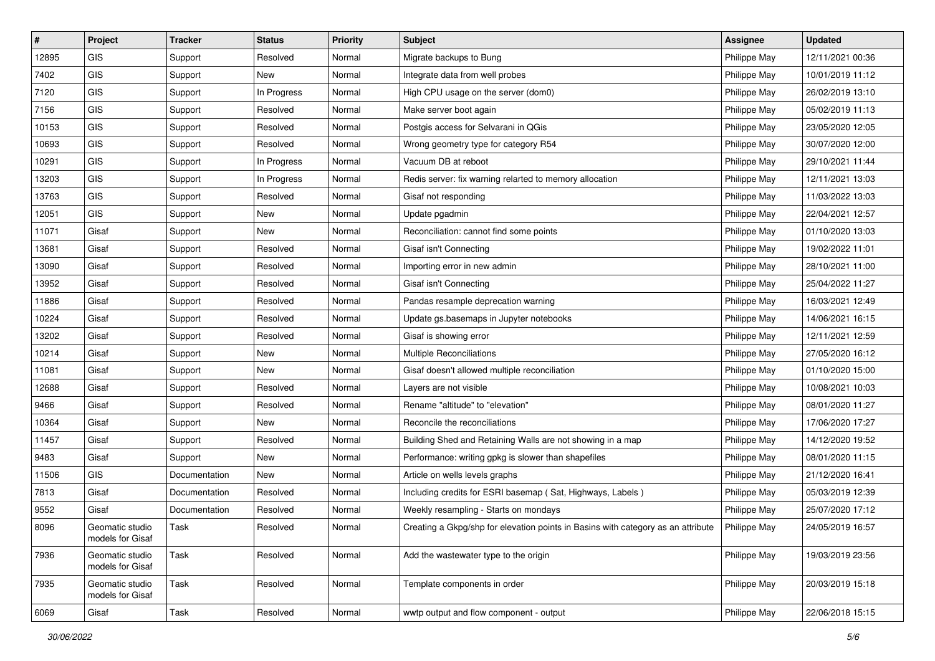| $\vert$ # | Project                             | <b>Tracker</b> | <b>Status</b> | <b>Priority</b> | <b>Subject</b>                                                                   | <b>Assignee</b> | <b>Updated</b>   |
|-----------|-------------------------------------|----------------|---------------|-----------------|----------------------------------------------------------------------------------|-----------------|------------------|
| 12895     | GIS                                 | Support        | Resolved      | Normal          | Migrate backups to Bung                                                          | Philippe May    | 12/11/2021 00:36 |
| 7402      | GIS                                 | Support        | New           | Normal          | Integrate data from well probes                                                  | Philippe May    | 10/01/2019 11:12 |
| 7120      | GIS                                 | Support        | In Progress   | Normal          | High CPU usage on the server (dom0)                                              | Philippe May    | 26/02/2019 13:10 |
| 7156      | GIS                                 | Support        | Resolved      | Normal          | Make server boot again                                                           | Philippe May    | 05/02/2019 11:13 |
| 10153     | GIS                                 | Support        | Resolved      | Normal          | Postgis access for Selvarani in QGis                                             | Philippe May    | 23/05/2020 12:05 |
| 10693     | GIS                                 | Support        | Resolved      | Normal          | Wrong geometry type for category R54                                             | Philippe May    | 30/07/2020 12:00 |
| 10291     | GIS                                 | Support        | In Progress   | Normal          | Vacuum DB at reboot                                                              | Philippe May    | 29/10/2021 11:44 |
| 13203     | GIS                                 | Support        | In Progress   | Normal          | Redis server: fix warning relarted to memory allocation                          | Philippe May    | 12/11/2021 13:03 |
| 13763     | GIS                                 | Support        | Resolved      | Normal          | Gisaf not responding                                                             | Philippe May    | 11/03/2022 13:03 |
| 12051     | GIS                                 | Support        | <b>New</b>    | Normal          | Update pgadmin                                                                   | Philippe May    | 22/04/2021 12:57 |
| 11071     | Gisaf                               | Support        | New           | Normal          | Reconciliation: cannot find some points                                          | Philippe May    | 01/10/2020 13:03 |
| 13681     | Gisaf                               | Support        | Resolved      | Normal          | Gisaf isn't Connecting                                                           | Philippe May    | 19/02/2022 11:01 |
| 13090     | Gisaf                               | Support        | Resolved      | Normal          | Importing error in new admin                                                     | Philippe May    | 28/10/2021 11:00 |
| 13952     | Gisaf                               | Support        | Resolved      | Normal          | Gisaf isn't Connecting                                                           | Philippe May    | 25/04/2022 11:27 |
| 11886     | Gisaf                               | Support        | Resolved      | Normal          | Pandas resample deprecation warning                                              | Philippe May    | 16/03/2021 12:49 |
| 10224     | Gisaf                               | Support        | Resolved      | Normal          | Update gs.basemaps in Jupyter notebooks                                          | Philippe May    | 14/06/2021 16:15 |
| 13202     | Gisaf                               | Support        | Resolved      | Normal          | Gisaf is showing error                                                           | Philippe May    | 12/11/2021 12:59 |
| 10214     | Gisaf                               | Support        | New           | Normal          | Multiple Reconciliations                                                         | Philippe May    | 27/05/2020 16:12 |
| 11081     | Gisaf                               | Support        | New           | Normal          | Gisaf doesn't allowed multiple reconciliation                                    | Philippe May    | 01/10/2020 15:00 |
| 12688     | Gisaf                               | Support        | Resolved      | Normal          | Layers are not visible                                                           | Philippe May    | 10/08/2021 10:03 |
| 9466      | Gisaf                               | Support        | Resolved      | Normal          | Rename "altitude" to "elevation"                                                 | Philippe May    | 08/01/2020 11:27 |
| 10364     | Gisaf                               | Support        | New           | Normal          | Reconcile the reconciliations                                                    | Philippe May    | 17/06/2020 17:27 |
| 11457     | Gisaf                               | Support        | Resolved      | Normal          | Building Shed and Retaining Walls are not showing in a map                       | Philippe May    | 14/12/2020 19:52 |
| 9483      | Gisaf                               | Support        | New           | Normal          | Performance: writing gpkg is slower than shapefiles                              | Philippe May    | 08/01/2020 11:15 |
| 11506     | <b>GIS</b>                          | Documentation  | New           | Normal          | Article on wells levels graphs                                                   | Philippe May    | 21/12/2020 16:41 |
| 7813      | Gisaf                               | Documentation  | Resolved      | Normal          | Including credits for ESRI basemap (Sat, Highways, Labels)                       | Philippe May    | 05/03/2019 12:39 |
| 9552      | Gisaf                               | Documentation  | Resolved      | Normal          | Weekly resampling - Starts on mondays                                            | Philippe May    | 25/07/2020 17:12 |
| 8096      | Geomatic studio<br>models for Gisaf | Task           | Resolved      | Normal          | Creating a Gkpg/shp for elevation points in Basins with category as an attribute | Philippe May    | 24/05/2019 16:57 |
| 7936      | Geomatic studio<br>models for Gisaf | Task           | Resolved      | Normal          | Add the wastewater type to the origin                                            | Philippe May    | 19/03/2019 23:56 |
| 7935      | Geomatic studio<br>models for Gisaf | Task           | Resolved      | Normal          | Template components in order                                                     | Philippe May    | 20/03/2019 15:18 |
| 6069      | Gisaf                               | Task           | Resolved      | Normal          | wwtp output and flow component - output                                          | Philippe May    | 22/06/2018 15:15 |